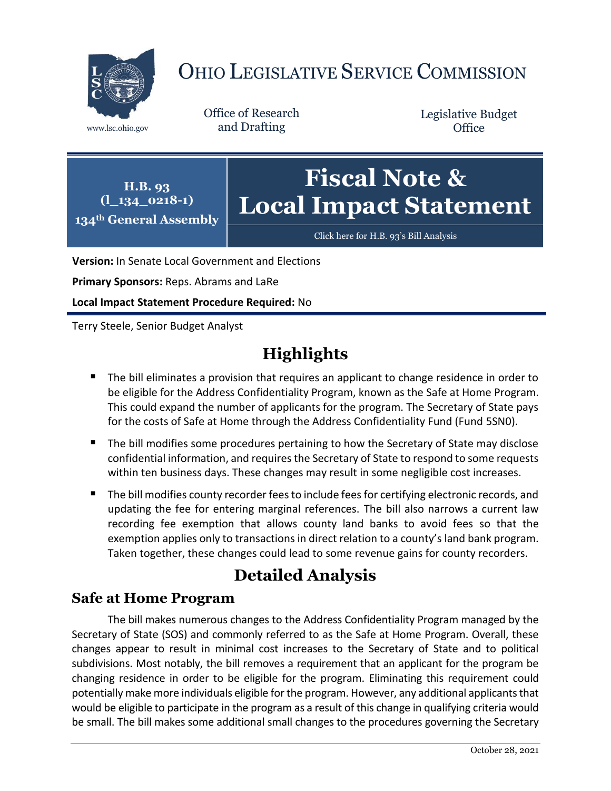

# OHIO LEGISLATIVE SERVICE COMMISSION

Office of Research www.lsc.ohio.gov and Drafting

Legislative Budget **Office** 

**H.B. 93 (l\_134\_0218-1) 134th General Assembly Fiscal Note & Local Impact Statement**

[Click here for H.B. 93](https://www.legislature.ohio.gov/legislation/legislation-documents?id=GA134-HB-93)'s Bill Analysis

**Version:** In Senate Local Government and Elections

**Primary Sponsors:** Reps. Abrams and LaRe

**Local Impact Statement Procedure Required:** No

Terry Steele, Senior Budget Analyst

## **Highlights**

- **The bill eliminates a provision that requires an applicant to change residence in order to** be eligible for the Address Confidentiality Program, known as the Safe at Home Program. This could expand the number of applicants for the program. The Secretary of State pays for the costs of Safe at Home through the Address Confidentiality Fund (Fund 5SN0).
- The bill modifies some procedures pertaining to how the Secretary of State may disclose confidential information, and requires the Secretary of State to respond to some requests within ten business days. These changes may result in some negligible cost increases.
- The bill modifies county recorder fees to include fees for certifying electronic records, and updating the fee for entering marginal references. The bill also narrows a current law recording fee exemption that allows county land banks to avoid fees so that the exemption applies only to transactions in direct relation to a county's land bank program. Taken together, these changes could lead to some revenue gains for county recorders.

## **Detailed Analysis**

### **Safe at Home Program**

The bill makes numerous changes to the Address Confidentiality Program managed by the Secretary of State (SOS) and commonly referred to as the Safe at Home Program. Overall, these changes appear to result in minimal cost increases to the Secretary of State and to political subdivisions. Most notably, the bill removes a requirement that an applicant for the program be changing residence in order to be eligible for the program. Eliminating this requirement could potentially make more individuals eligible for the program. However, any additional applicants that would be eligible to participate in the program as a result of this change in qualifying criteria would be small. The bill makes some additional small changes to the procedures governing the Secretary